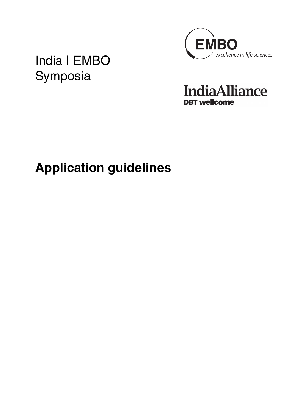

India | EMBO Symposia

**IndiaAlliance DBT** wellcome

# **Application guidelines**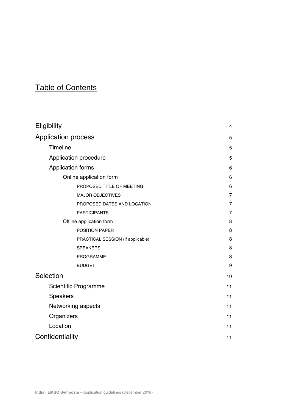## Table of Contents

| Eligibility                       | 4              |  |
|-----------------------------------|----------------|--|
| <b>Application process</b>        | 5              |  |
| Timeline                          |                |  |
| Application procedure             |                |  |
| <b>Application forms</b>          |                |  |
| Online application form           | 6              |  |
| PROPOSED TITLE OF MEETING         | 6              |  |
| <b>MAJOR OBJECTIVES</b>           | $\overline{7}$ |  |
| PROPOSED DATES AND LOCATION       | $\overline{7}$ |  |
| <b>PARTICIPANTS</b>               | $\overline{7}$ |  |
| Offline application form          |                |  |
| <b>POSITION PAPER</b>             | 8              |  |
| PRACTICAL SESSION (if applicable) | 8              |  |
| <b>SPEAKERS</b>                   | 8              |  |
| PROGRAMME                         | 8              |  |
| <b>BUDGET</b>                     | 9              |  |
| Selection                         | 10             |  |
| Scientific Programme              | 11             |  |
| <b>Speakers</b>                   | 11             |  |
| Networking aspects                |                |  |
| Organizers                        | 11             |  |
| Location                          | 11             |  |
| Confidentiality                   | 11             |  |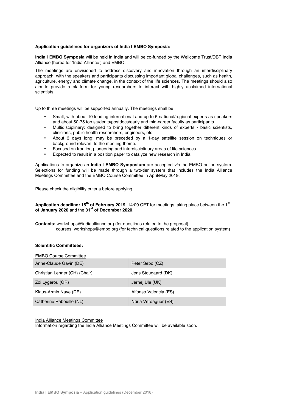#### **Application guidelines for organizers of India | EMBO Symposia:**

**India | EMBO Symposia** will be held in India and will be co-funded by the Wellcome Trust/DBT India Alliance (hereafter 'India Alliance') and EMBO.

The meetings are envisioned to address discovery and innovation through an interdisciplinary approach, with the speakers and participants discussing important global challenges, such as health, agriculture, energy and climate change, in the context of the life sciences. The meetings should also aim to provide a platform for young researchers to interact with highly acclaimed international scientists.

Up to three meetings will be supported annually. The meetings shall be:

- Small, with about 10 leading international and up to 5 national/regional experts as speakers and about 50-75 top students/postdocs/early and mid-career faculty as participants.
- Multidisciplinary: designed to bring together different kinds of experts basic scientists, clinicians, public health researchers, engineers, etc.
- About 3 days long; may be preceded by a 1-day satellite session on techniques or background relevant to the meeting theme.
- Focused on frontier, pioneering and interdisciplinary areas of life sciences.
- Expected to result in a position paper to catalyze new research in India.

Applications to organize an **India | EMBO Symposium** are accepted *via* the EMBO online system. Selections for funding will be made through a two-tier system that includes the India Alliance Meetings Committee and the EMBO Course Committee in April/May 2019.

Please check the eligibility criteria before applying.

**Application deadline: 15th of February 2019**, 14:00 CET for meetings taking place between the **1st of January 2020** and the **31st of December 2020**.

**Contacts:** workshops@indiaalliance.org (for questions related to the proposal) courses\_workshops@embo.org (for technical questions related to the application system)

#### **Scientific Committees:**

| <b>EMBO Course Committee</b>  |                       |
|-------------------------------|-----------------------|
| Anne-Claude Gavin (DE)        | Peter Sebo (CZ)       |
| Christian Lehner (CH) (Chair) | Jens Stougaard (DK)   |
| Zoi Lygerou (GR)              | Jernej Ule (UK)       |
| Klaus-Armin Nave (DE)         | Alfonso Valencia (ES) |
| Catherine Rabouille (NL)      | Núria Verdaguer (ES)  |

India Alliance Meetings Committee

Information regarding the India Alliance Meetings Committee will be available soon.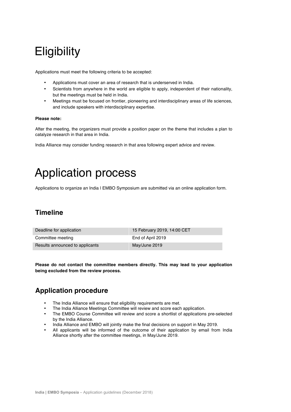## **Eligibility**

Applications must meet the following criteria to be accepted:

- Applications must cover an area of research that is underserved in India.
- Scientists from anywhere in the world are eligible to apply, independent of their nationality, but the meetings must be held in India.
- Meetings must be focused on frontier, pioneering and interdisciplinary areas of life sciences, and include speakers with interdisciplinary expertise.

#### **Please note:**

After the meeting, the organizers must provide a position paper on the theme that includes a plan to catalyze research in that area in India.

India Alliance may consider funding research in that area following expert advice and review.

## Application process

Applications to organize an India | EMBO Symposium are submitted via an online application form.

## **Timeline**

| Deadline for application        | 15 February 2019, 14:00 CET |
|---------------------------------|-----------------------------|
| Committee meeting               | End of April 2019           |
| Results announced to applicants | May/June 2019               |

**Please do not contact the committee members directly. This may lead to your application being excluded from the review process.**

## **Application procedure**

- The India Alliance will ensure that eligibility requirements are met.
- The India Alliance Meetings Committee will review and score each application.
- The EMBO Course Committee will review and score a shortlist of applications pre-selected by the India Alliance.
- India Alliance and EMBO will jointly make the final decisions on support in May 2019.
- All applicants will be informed of the outcome of their application by email from India Alliance shortly after the committee meetings, in May/June 2019.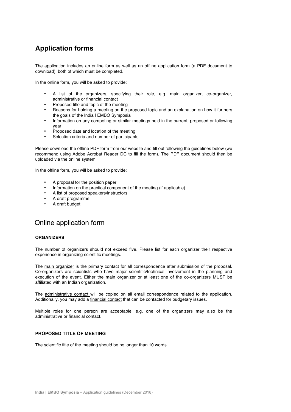## **Application forms**

The application includes an online form as well as an offline application form (a PDF document to download), both of which must be completed.

In the online form, you will be asked to provide:

- A list of the organizers, specifying their role, e.g. main organizer, co-organizer, administrative or financial contact
- Proposed title and topic of the meeting
- Reasons for holding a meeting on the proposed topic and an explanation on how it furthers the goals of the India I EMBO Symposia
- Information on any competing or similar meetings held in the current, proposed or following year
- Proposed date and location of the meeting
- Selection criteria and number of participants

Please download the offline PDF form from our website and fill out following the guidelines below (we recommend using Adobe Acrobat Reader DC to fill the form). The PDF document should then be uploaded via the online system.

In the offline form, you will be asked to provide:

- A proposal for the position paper
- Information on the practical component of the meeting (if applicable)
- A list of proposed speakers/instructors
- A draft programme
- A draft budget

## Online application form

#### **ORGANIZERS**

The number of organizers should not exceed five. Please list for each organizer their respective experience in organizing scientific meetings.

The main organizer is the primary contact for all correspondence after submission of the proposal. Co-organizers are scientists who have major scientific/technical involvement in the planning and execution of the event. Either the main organizer or at least one of the co-organizers MUST be affiliated with an Indian organization.

The administrative contact will be copied on all email correspondence related to the application. Additionally, you may add a financial contact that can be contacted for budgetary issues.

Multiple roles for one person are acceptable, e.g. one of the organizers may also be the administrative or financial contact.

#### **PROPOSED TITLE OF MEETING**

The scientific title of the meeting should be no longer than 10 words.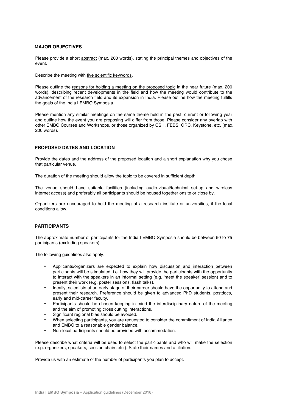#### **MAJOR OBJECTIVES**

Please provide a short abstract (max. 200 words), stating the principal themes and objectives of the event.

Describe the meeting with five scientific keywords.

Please outline the reasons for holding a meeting on the proposed topic in the near future (max. 200 words), describing recent developments in the field and how the meeting would contribute to the advancement of the research field and its expansion in India. Please outline how the meeting fulfills the goals of the India I EMBO Symposia.

Please mention any similar meetings on the same theme held in the past, current or following year and outline how the event you are proposing will differ from those. Please consider any overlap with other EMBO Courses and Workshops, or those organized by CSH, FEBS, GRC, Keystone, etc. (max. 200 words).

#### **PROPOSED DATES AND LOCATION**

Provide the dates and the address of the proposed location and a short explanation why you chose that particular venue.

The duration of the meeting should allow the topic to be covered in sufficient depth.

The venue should have suitable facilities (including audio-visual/technical set-up and wireless internet access) and preferably all participants should be housed together onsite or close by.

Organizers are encouraged to hold the meeting at a research institute or universities, if the local conditions allow.

#### **PARTICIPANTS**

The approximate number of participants for the India I EMBO Symposia should be between 50 to 75 participants (excluding speakers).

The following guidelines also apply:

- Applicants/organizers are expected to explain how discussion and interaction between participants will be stimulated, i.e. how they will provide the participants with the opportunity to interact with the speakers in an informal setting (e.g. 'meet the speaker' session) and to present their work (e.g. poster sessions, flash talks).
- Ideally, scientists at an early stage of their career should have the opportunity to attend and present their research. Preference should be given to advanced PhD students, postdocs, early and mid-career faculty.
- Participants should be chosen keeping in mind the interdisciplinary nature of the meeting and the aim of promoting cross cutting interactions.
- Significant regional bias should be avoided.
- When selecting participants, you are requested to consider the commitment of India Alliance and EMBO to a reasonable gender balance.
- Non-local participants should be provided with accommodation.

Please describe what criteria will be used to select the participants and who will make the selection (e.g. organizers, speakers, session chairs etc.). State their names and affiliation.

Provide us with an estimate of the number of participants you plan to accept.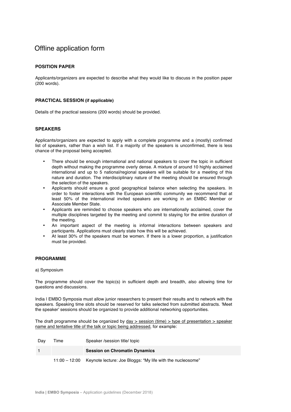## Offline application form

#### **POSITION PAPER**

Applicants/organizers are expected to describe what they would like to discuss in the position paper (200 words).

#### **PRACTICAL SESSION (if applicable)**

Details of the practical sessions (200 words) should be provided.

#### **SPEAKERS**

Applicants/organizers are expected to apply with a complete programme and a (mostly) confirmed list of speakers, rather than a wish list. If a majority of the speakers is unconfirmed, there is less chance of the proposal being accepted.

- There should be enough international and national speakers to cover the topic in sufficient depth without making the programme overly dense. A mixture of around 10 highly acclaimed international and up to 5 national/regional speakers will be suitable for a meeting of this nature and duration. The interdisciplinary nature of the meeting should be ensured through the selection of the speakers.
- Applicants should ensure a good geographical balance when selecting the speakers. In order to foster interactions with the European scientific community we recommend that at least 50% of the international invited speakers are working in an EMBC Member or Associate Member State.
- Applicants are reminded to choose speakers who are internationally acclaimed, cover the multiple disciplines targeted by the meeting and commit to staying for the entire duration of the meeting.
- An important aspect of the meeting is informal interactions between speakers and participants. Applications must clearly state how this will be achieved.
- At least 30% of the speakers must be women. If there is a lower proportion, a justification must be provided.

#### **PROGRAMME**

#### a) Symposium

The programme should cover the topic(s) in sufficient depth and breadth, also allowing time for questions and discussions.

India I EMBO Symposia must allow junior researchers to present their results and to network with the speakers. Speaking time slots should be reserved for talks selected from submitted abstracts. 'Meet the speaker' sessions should be organized to provide additional networking opportunities.

The draft programme should be organized by day  $>$  session (time)  $>$  type of presentation  $>$  speaker name and tentative title of the talk or topic being addressed, for example:

| Dav | Time | Speaker /session title/ topic                                            |
|-----|------|--------------------------------------------------------------------------|
|     |      | <b>Session on Chromatin Dynamics</b>                                     |
|     |      | 11:00 - 12:00 Keynote lecture: Joe Bloggs: "My life with the nucleosome" |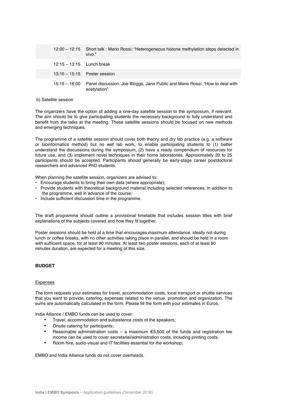|                           | 12:00 - 12:15 Short talk: Mario Rossi: "Heterogeneous histone methylation steps detected in<br>vivo."      |
|---------------------------|------------------------------------------------------------------------------------------------------------|
| $12:15-13:15$ Lunch break |                                                                                                            |
|                           | $13:15 - 15:15$ Poster session                                                                             |
|                           | 15:15 – 16:00 Panel discussion: Joe Bloggs, Jane Public and Mario Rossi: "How to deal with<br>acetylation" |

#### b) Satellite session

The organizers have the option of adding a one-day satellite session to the symposium, if relevant. The aim should be to give participating students the necessary background to fully understand and benefit from the talks at the meeting. These satellite sessions should be focused on new methods and emerging techniques.

The programme of a satellite session should cover both theory and dry lab practice (e.g. a software or bioinformatics method) but no wet lab work, to enable participating students to (1) better understand the discussions during the symposium, (2) have a ready compendium of resources for future use, and (3) implement novel techniques in their home laboratories. Approximately 20 to 25 participants should be accepted. Participants should generally be early-stage career postdoctoral researchers and advanced PhD students.

When planning the satellite session, organizers are advised to:

- Encourage students to bring their own data (where appropriate);
- Provide students with theoretical background material including selected references, in addition to the programme, well in advance of the course;
- Include sufficient discussion time in the programme.

The draft programme should outline a provisional timetable that includes session titles with brief explanations of the subjects covered and how they fit together.

Poster sessions should be held at a time that encourages maximum attendance, ideally not during lunch or coffee breaks, with no other activities taking place in parallel, and should be held in a room with sufficient space, for at least 90 minutes. At least two poster sessions, each of at least 90 minutes duration, are expected for a meeting of this size.

#### **BUDGET**

#### Expenses

The form requests your estimates for travel, accommodation costs, local transport or shuttle services that you want to provide, catering, expenses related to the venue, promotion and organization. The sums are automatically calculated in the form. Please fill the form with your estimates in Euros.

India Alliance / EMBO funds can be used to cover:

- Travel, accommodation and subsistence costs of the speakers;
- Onsite catering for participants;
- Reasonable administration costs a maximum  $\epsilon$ 5,500 of the funds and registration fee income can be used to cover secretarial/administration costs, including printing costs.
- Room hire, audio-visual and IT facilities essential for the workshop;

EMBO and India Alliance funds do not cover overheads.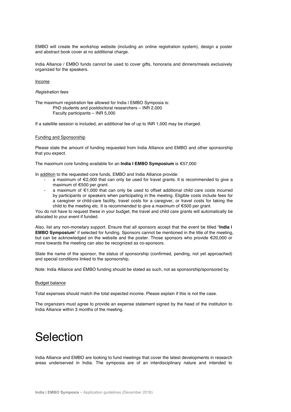EMBO will create the workshop website (including an online registration system), design a poster and abstract book cover at no additional charge.

India Alliance / EMBO funds cannot be used to cover gifts, honoraria and dinners/meals exclusively organized for the speakers.

#### Income

#### *Registration fees*

The maximum registration fee allowed for India | EMBO Symposia is: PhD students and postdoctoral researchers – INR 2,000 Faculty participants – INR 5,000

If a satellite session is included, an additional fee of up to INR 1,000 may be charged.

#### Funding and Sponsorship

Please state the amount of funding requested from India Alliance and EMBO and other sponsorship that you expect.

The maximum core funding available for an **India I EMBO Symposium** is €57,000

In addition to the requested core funds, EMBO and India Alliance provide:

- a maximum of €2,000 that can only be used for travel grants. It is recommended to give a maximum of €500 per grant.
- a maximum of €1,000 that can only be used to offset additional child care costs incurred by participants or speakers when participating in the meeting. Eligible costs include fees for a caregiver or child-care facility, travel costs for a caregiver, or travel costs for taking the child to the meeting etc. It is recommended to give a maximum of €500 per grant.

You do not have to request these in your budget, the travel and child care grants will automatically be allocated to your event if funded.

Also, list any non-monetary support. Ensure that all sponsors accept that the event be titled "**India | EMBO Symposium**" if selected for funding. Sponsors cannot be mentioned in the title of the meeting, but can be acknowledged on the website and the poster. Those sponsors who provide €20,000 or more towards the meeting can also be recognized as co-sponsors.

State the name of the sponsor, the status of sponsorship (confirmed, pending, not yet approached) and special conditions linked to the sponsorship.

Note: India Alliance and EMBO funding should be stated as such, not as sponsorship/sponsored by.

#### Budget balance

Total expenses should match the total expected income. Please explain if this is not the case.

The organizers must agree to provide an expense statement signed by the head of the institution to India Alliance within 3 months of the meeting.

## Selection

India Alliance and EMBO are looking to fund meetings that cover the latest developments in research areas underserved in India. The symposia are of an interdisciplinary nature and intended to